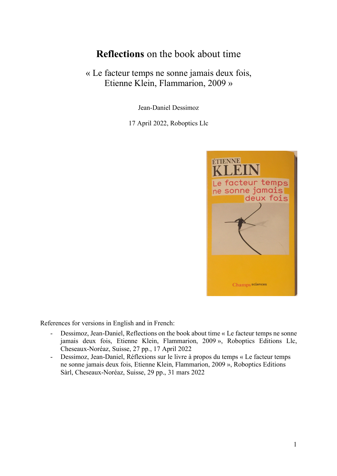# **Reflections** on the book about time

# « Le facteur temps ne sonne jamais deux fois, Etienne Klein, Flammarion, 2009 »

Jean-Daniel Dessimoz

17 April 2022, Roboptics Llc



References for versions in English and in French:

- Dessimoz, Jean-Daniel, Reflections on the book about time « Le facteur temps ne sonne jamais deux fois, Etienne Klein, Flammarion, 2009 », Roboptics Editions Llc, Cheseaux-Noréaz, Suisse, 27 pp., 17 April 2022
- Dessimoz, Jean-Daniel, Réflexions sur le livre à propos du temps « Le facteur temps ne sonne jamais deux fois, Etienne Klein, Flammarion, 2009 », Roboptics Editions Sàrl, Cheseaux-Noréaz, Suisse, 29 pp., 31 mars 2022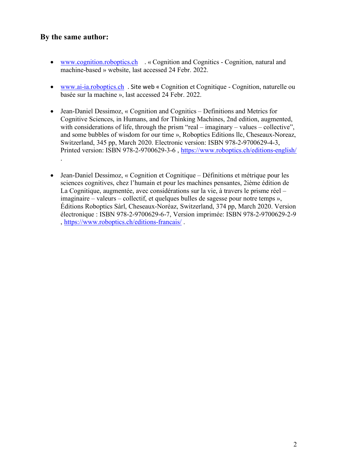# **By the same author:**

- www.cognition.roboptics.ch . « Cognition and Cognitics Cognition, natural and machine-based » website, last accessed 24 Febr. 2022.
- www.ai-ia.roboptics.ch . Site web « Cognition et Cognitique Cognition, naturelle ou basée sur la machine », last accessed 24 Febr. 2022.
- Jean-Daniel Dessimoz, « Cognition and Cognitics Definitions and Metrics for Cognitive Sciences, in Humans, and for Thinking Machines, 2nd edition, augmented, with considerations of life, through the prism "real – imaginary – values – collective". and some bubbles of wisdom for our time », Roboptics Editions llc, Cheseaux-Noreaz, Switzerland, 345 pp, March 2020. Electronic version: ISBN 978-2-9700629-4-3, Printed version: ISBN 978-2-9700629-3-6 , https://www.roboptics.ch/editions-english/ .
- Jean-Daniel Dessimoz, « Cognition et Cognitique Définitions et métrique pour les sciences cognitives, chez l'humain et pour les machines pensantes, 2ième édition de La Cognitique, augmentée, avec considérations sur la vie, à travers le prisme réel – imaginaire – valeurs – collectif, et quelques bulles de sagesse pour notre temps », Éditions Roboptics Sàrl, Cheseaux-Noréaz, Switzerland, 374 pp, March 2020. Version électronique : ISBN 978-2-9700629-6-7, Version imprimée: ISBN 978-2-9700629-2-9 , https://www.roboptics.ch/editions-francais/ .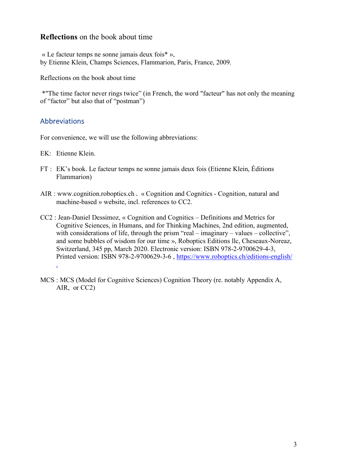# **Reflections** on the book about time

« Le facteur temps ne sonne jamais deux fois\* », by Etienne Klein, Champs Sciences, Flammarion, Paris, France, 2009.

Reflections on the book about time

\*"The time factor never rings twice" (in French, the word "facteur" has not only the meaning of "factor" but also that of "postman")

# Abbreviations

For convenience, we will use the following abbreviations:

EK: Etienne Klein.

- FT : EK's book. Le facteur temps ne sonne jamais deux fois (Etienne Klein, Éditions Flammarion)
- AIR : www.cognition.roboptics.ch . « Cognition and Cognitics Cognition, natural and machine-based » website, incl. references to CC2.
- CC2 : Jean-Daniel Dessimoz, « Cognition and Cognitics Definitions and Metrics for Cognitive Sciences, in Humans, and for Thinking Machines, 2nd edition, augmented, with considerations of life, through the prism "real – imaginary – values – collective". and some bubbles of wisdom for our time », Roboptics Editions llc, Cheseaux-Noreaz, Switzerland, 345 pp, March 2020. Electronic version: ISBN 978-2-9700629-4-3, Printed version: ISBN 978-2-9700629-3-6 , https://www.roboptics.ch/editions-english/ .
- MCS : MCS (Model for Cognitive Sciences) Cognition Theory (re. notably Appendix A, AIR, or CC2)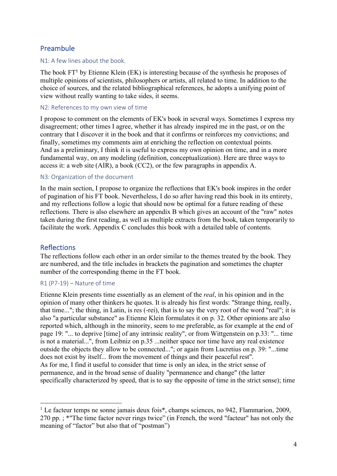# Preambule

### N1: A few lines about the book.

The book FT<sup>1</sup> by Etienne Klein (EK) is interesting because of the synthesis he proposes of multiple opinions of scientists, philosophers or artists, all related to time. In addition to the choice of sources, and the related bibliographical references, he adopts a unifying point of view without really wanting to take sides, it seems.

#### N2: References to my own view of time

I propose to comment on the elements of EK's book in several ways. Sometimes I express my disagreement; other times I agree, whether it has already inspired me in the past, or on the contrary that I discover it in the book and that it confirms or reinforces my convictions; and finally, sometimes my comments aim at enriching the reflection on contextual points. And as a preliminary, I think it is useful to express my own opinion on time, and in a more fundamental way, on any modeling (definition, conceptualization). Here are three ways to access it: a web site (AIR), a book (CC2), or the few paragraphs in appendix A.

#### N3: Organization of the document

In the main section, I propose to organize the reflections that EK's book inspires in the order of pagination of his FT book. Nevertheless, I do so after having read this book in its entirety, and my reflections follow a logic that should now be optimal for a future reading of these reflections. There is also elsewhere an appendix B which gives an account of the "raw" notes taken during the first reading, as well as multiple extracts from the book, taken temporarily to facilitate the work. Appendix C concludes this book with a detailed table of contents.

# **Reflections**

The reflections follow each other in an order similar to the themes treated by the book. They are numbered, and the title includes in brackets the pagination and sometimes the chapter number of the corresponding theme in the FT book.

#### R1 (P7-19) – Nature of time

Etienne Klein presents time essentially as an element of the *real*, in his opinion and in the opinion of many other thinkers he quotes. It is already his first words: "Strange thing, really, that time..."; the thing, in Latin, is res (-rei), that is to say the very root of the word "real"; it is also "a particular substance" as Etienne Klein formulates it on p. 32. Other opinions are also reported which, although in the minority, seem to me preferable, as for example at the end of page 19: "... to deprive [time] of any intrinsic reality", or from Wittgenstein on p.33: "... time is not a material...", from Leibniz on p.35 ...neither space nor time have any real existence outside the objects they allow to be connected..."; or again from Lucretius on p. 39: "...time does not exist by itself... from the movement of things and their peaceful rest". As for me, I find it useful to consider that time is only an idea, in the strict sense of permanence, and in the broad sense of duality "permanence and change" (the latter specifically characterized by speed, that is to say the opposite of time in the strict sense); time

<sup>&</sup>lt;sup>1</sup> Le facteur temps ne sonne jamais deux fois\*, champs sciences, no 942, Flammarion, 2009, 270 pp. ; \*"The time factor never rings twice" (in French, the word "facteur" has not only the meaning of "factor" but also that of "postman")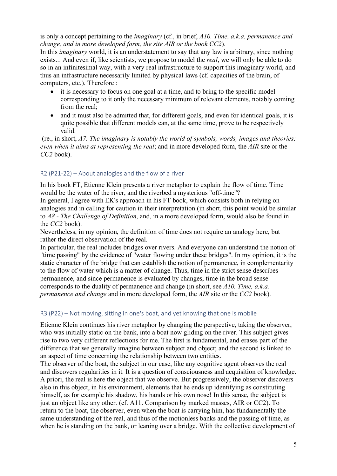is only a concept pertaining to the *imaginary* (cf., in brief, *A10. Time, a.k.a. permanence and change, and in more developed form, the site AIR or the book CC2*).

In this *imaginary* world, it is an understatement to say that any law is arbitrary, since nothing exists... And even if, like scientists, we propose to model the *real*, we will only be able to do so in an infinitesimal way, with a very real infrastructure to support this imaginary world, and thus an infrastructure necessarily limited by physical laws (cf. capacities of the brain, of computers, etc.). Therefore :

- it is necessary to focus on one goal at a time, and to bring to the specific model corresponding to it only the necessary minimum of relevant elements, notably coming from the real;
- and it must also be admitted that, for different goals, and even for identical goals, it is quite possible that different models can, at the same time, prove to be respectively valid.

(re., in short, *A7. The imaginary is notably the world of symbols, words, images and theories; even when it aims at representing the real*; and in more developed form, the *AIR* site or the *CC2* book).

# R2 (P21-22) – About analogies and the flow of a river

In his book FT, Etienne Klein presents a river metaphor to explain the flow of time. Time would be the water of the river, and the riverbed a mysterious "off-time"?

In general, I agree with EK's approach in his FT book, which consists both in relying on analogies and in calling for caution in their interpretation (in short, this point would be similar to *A8 - The Challenge of Definition*, and, in a more developed form, would also be found in the *CC2* book).

Nevertheless, in my opinion, the definition of time does not require an analogy here, but rather the direct observation of the real.

In particular, the real includes bridges over rivers. And everyone can understand the notion of "time passing" by the evidence of "water flowing under these bridges". In my opinion, it is the static character of the bridge that can establish the notion of permanence, in complementarity to the flow of water which is a matter of change. Thus, time in the strict sense describes permanence, and since permanence is evaluated by changes, time in the broad sense corresponds to the duality of permanence and change (in short, see *A10. Time, a.k.a. permanence and change* and in more developed form, the *AIR* site or the *CC2* book).

# R3 (P22) – Not moving, sitting in one's boat, and yet knowing that one is mobile

Etienne Klein continues his river metaphor by changing the perspective, taking the observer, who was initially static on the bank, into a boat now gliding on the river. This subject gives rise to two very different reflections for me. The first is fundamental, and erases part of the difference that we generally imagine between subject and object; and the second is linked to an aspect of time concerning the relationship between two entities.

The observer of the boat, the subject in our case, like any cognitive agent observes the real and discovers regularities in it. It is a question of consciousness and acquisition of knowledge. A priori, the real is here the object that we observe. But progressively, the observer discovers also in this object, in his environment, elements that he ends up identifying as constituting himself, as for example his shadow, his hands or his own nose! In this sense, the subject is just an object like any other. (cf. A11. Comparison by marked masses, AIR or CC2). To return to the boat, the observer, even when the boat is carrying him, has fundamentally the same understanding of the real, and thus of the motionless banks and the passing of time, as when he is standing on the bank, or leaning over a bridge. With the collective development of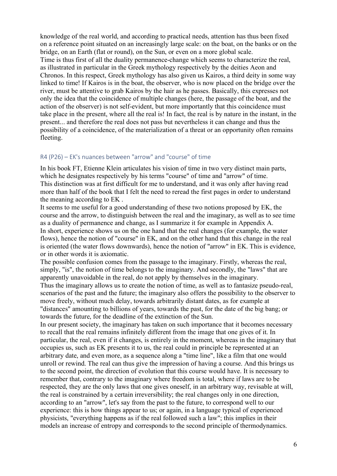knowledge of the real world, and according to practical needs, attention has thus been fixed on a reference point situated on an increasingly large scale: on the boat, on the banks or on the bridge, on an Earth (flat or round), on the Sun, or even on a more global scale. Time is thus first of all the duality permanence-change which seems to characterize the real, as illustrated in particular in the Greek mythology respectively by the deities Aeon and Chronos. In this respect, Greek mythology has also given us Kairos, a third deity in some way linked to time! If Kairos is in the boat, the observer, who is now placed on the bridge over the river, must be attentive to grab Kairos by the hair as he passes. Basically, this expresses not only the idea that the coincidence of multiple changes (here, the passage of the boat, and the action of the observer) is not self-evident, but more importantly that this coincidence must take place in the present, where all the real is! In fact, the real is by nature in the instant, in the present... and therefore the real does not pass but nevertheless it can change and thus the possibility of a coincidence, of the materialization of a threat or an opportunity often remains fleeting.

#### R4 (P26) – EK's nuances between "arrow" and "course" of time

In his book FT, Etienne Klein articulates his vision of time in two very distinct main parts, which he designates respectively by his terms "course" of time and "arrow" of time. This distinction was at first difficult for me to understand, and it was only after having read more than half of the book that I felt the need to reread the first pages in order to understand the meaning according to EK .

It seems to me useful for a good understanding of these two notions proposed by EK, the course and the arrow, to distinguish between the real and the imaginary, as well as to see time as a duality of permanence and change, as I summarize it for example in Appendix A. In short, experience shows us on the one hand that the real changes (for example, the water flows), hence the notion of "course" in EK, and on the other hand that this change in the real is oriented (the water flows downwards), hence the notion of "arrow" in EK. This is evidence, or in other words it is axiomatic.

The possible confusion comes from the passage to the imaginary. Firstly, whereas the real, simply, "is", the notion of time belongs to the imaginary. And secondly, the "laws" that are apparently unavoidable in the real, do not apply by themselves in the imaginary.

Thus the imaginary allows us to create the notion of time, as well as to fantasize pseudo-real, scenarios of the past and the future; the imaginary also offers the possibility to the observer to move freely, without much delay, towards arbitrarily distant dates, as for example at "distances" amounting to billions of years, towards the past, for the date of the big bang; or towards the future, for the deadline of the extinction of the Sun.

In our present society, the imaginary has taken on such importance that it becomes necessary to recall that the real remains infinitely different from the image that one gives of it. In particular, the real, even if it changes, is entirely in the moment, whereas in the imaginary that occupies us, such as EK presents it to us, the real could in principle be represented at an arbitrary date, and even more, as a sequence along a "time line", like a film that one would unroll or rewind. The real can thus give the impression of having a course. And this brings us to the second point, the direction of evolution that this course would have. It is necessary to remember that, contrary to the imaginary where freedom is total, where if laws are to be respected, they are the only laws that one gives oneself, in an arbitrary way, revisable at will, the real is constrained by a certain irreversibility; the real changes only in one direction, according to an "arrow", let's say from the past to the future, to correspond well to our experience: this is how things appear to us; or again, in a language typical of experienced physicists, "everything happens as if the real followed such a law"; this implies in their models an increase of entropy and corresponds to the second principle of thermodynamics.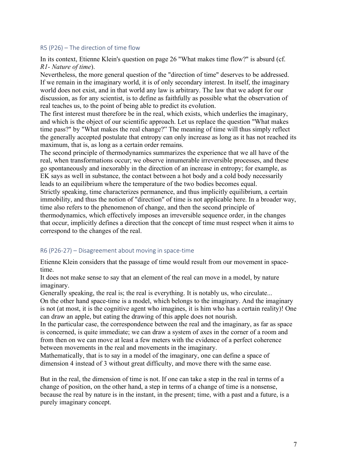#### R5 (P26) – The direction of time flow

In its context, Etienne Klein's question on page 26 "What makes time flow?" is absurd (cf. *R1- Nature of time*).

Nevertheless, the more general question of the "direction of time" deserves to be addressed. If we remain in the imaginary world, it is of only secondary interest. In itself, the imaginary world does not exist, and in that world any law is arbitrary. The law that we adopt for our discussion, as for any scientist, is to define as faithfully as possible what the observation of real teaches us, to the point of being able to predict its evolution.

The first interest must therefore be in the real, which exists, which underlies the imaginary, and which is the object of our scientific approach. Let us replace the question "What makes time pass?" by "What makes the real change?" The meaning of time will thus simply reflect the generally accepted postulate that entropy can only increase as long as it has not reached its maximum, that is, as long as a certain order remains.

The second principle of thermodynamics summarizes the experience that we all have of the real, when transformations occur; we observe innumerable irreversible processes, and these go spontaneously and inexorably in the direction of an increase in entropy; for example, as EK says as well in substance, the contact between a hot body and a cold body necessarily leads to an equilibrium where the temperature of the two bodies becomes equal. Strictly speaking, time characterizes permanence, and thus implicitly equilibrium, a certain immobility, and thus the notion of "direction" of time is not applicable here. In a broader way, time also refers to the phenomenon of change, and then the second principle of thermodynamics, which effectively imposes an irreversible sequence order, in the changes that occur, implicitly defines a direction that the concept of time must respect when it aims to correspond to the changes of the real.

#### R6 (P26-27) – Disagreement about moving in space-time

Etienne Klein considers that the passage of time would result from our movement in spacetime.

It does not make sense to say that an element of the real can move in a model, by nature imaginary.

Generally speaking, the real is; the real is everything. It is notably us, who circulate... On the other hand space-time is a model, which belongs to the imaginary. And the imaginary is not (at most, it is the cognitive agent who imagines, it is him who has a certain reality)! One can draw an apple, but eating the drawing of this apple does not nourish.

In the particular case, the correspondence between the real and the imaginary, as far as space is concerned, is quite immediate; we can draw a system of axes in the corner of a room and from then on we can move at least a few meters with the evidence of a perfect coherence between movements in the real and movements in the imaginary.

Mathematically, that is to say in a model of the imaginary, one can define a space of dimension 4 instead of 3 without great difficulty, and move there with the same ease.

But in the real, the dimension of time is not. If one can take a step in the real in terms of a change of position, on the other hand, a step in terms of a change of time is a nonsense, because the real by nature is in the instant, in the present; time, with a past and a future, is a purely imaginary concept.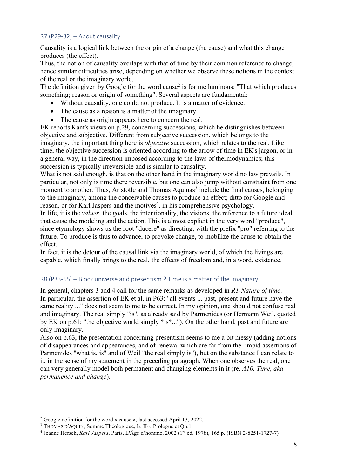# R7 (P29-32) – About causality

Causality is a logical link between the origin of a change (the cause) and what this change produces (the effect).

Thus, the notion of causality overlaps with that of time by their common reference to change, hence similar difficulties arise, depending on whether we observe these notions in the context of the real or the imaginary world.

The definition given by Google for the word cause<sup>2</sup> is for me luminous: "That which produces something; reason or origin of something". Several aspects are fundamental:

- Without causality, one could not produce. It is a matter of evidence.
- The cause as a reason is a matter of the imaginary.
- The cause as origin appears here to concern the real.

EK reports Kant's views on p.29, concerning successions, which he distinguishes between objective and subjective. Different from subjective succession, which belongs to the imaginary, the important thing here is *objective* succession, which relates to the real. Like time, the objective succession is oriented according to the arrow of time in EK's jargon, or in a general way, in the direction imposed according to the laws of thermodynamics; this succession is typically irreversible and is similar to causality.

What is not said enough, is that on the other hand in the imaginary world no law prevails. In particular, not only is time there reversible, but one can also jump without constraint from one moment to another. Thus, Aristotle and Thomas Aquinas<sup>3</sup> include the final causes, belonging to the imaginary, among the conceivable causes to produce an effect; ditto for Google and reason, or for Karl Jaspers and the motives<sup>4</sup>, in his comprehensive psychology.

In life, it is the *values*, the goals, the intentionality, the visions, the reference to a future ideal that cause the modeling and the action. This is almost explicit in the very word "produce", since etymology shows us the root "ducere" as directing, with the prefix "pro" referring to the future. To produce is thus to advance, to provoke change, to mobilize the cause to obtain the effect.

In fact, it is the detour of the causal link via the imaginary world, of which the livings are capable, which finally brings to the real, the effects of freedom and, in a word, existence.

# R8 (P33-65) – Block universe and presentism ? Time is a matter of the imaginary.

In general, chapters 3 and 4 call for the same remarks as developed in *R1-Nature of time*. In particular, the assertion of EK et al. in P63: "all events ... past, present and future have the same reality ..." does not seem to me to be correct. In my opinion, one should not confuse real and imaginary. The real simply "is", as already said by Parmenides (or Hermann Weil, quoted by EK on p.61: "the objective world simply \*is\*..."). On the other hand, past and future are only imaginary.

Also on p.63, the presentation concerning presentism seems to me a bit messy (adding notions of disappearances and appearances, and of renewal which are far from the limpid assertions of Parmenides "what is, is" and of Weil "the real simply is"), but on the substance I can relate to it, in the sense of my statement in the preceding paragraph. When one observes the real, one can very generally model both permanent and changing elements in it (re. *A10. Time, aka permanence and change*).

 <sup>2</sup> Google definition for the word « cause », last accessed April 13, 2022.

<sup>3</sup> THOMAS D'AQUIN, Somme Théologique, Ia, IIae, Prologue et Qu.1.

<sup>4</sup> Jeanne Hersch, *Karl Jaspers*, Paris, L'Âge d'homme, 2002 (1re éd. 1978), 165 p. (ISBN 2-8251-1727-7)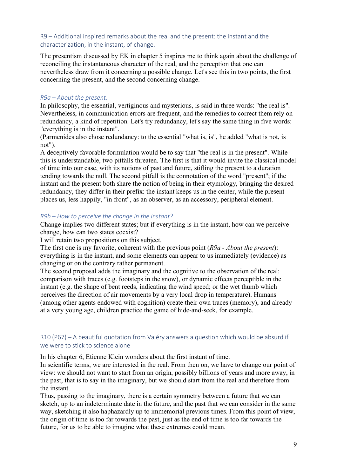# R9 – Additional inspired remarks about the real and the present: the instant and the characterization, in the instant, of change.

The presentism discussed by EK in chapter 5 inspires me to think again about the challenge of reconciling the instantaneous character of the real, and the perception that one can nevertheless draw from it concerning a possible change. Let's see this in two points, the first concerning the present, and the second concerning change.

### *R9a – About the present.*

In philosophy, the essential, vertiginous and mysterious, is said in three words: "the real is". Nevertheless, in communication errors are frequent, and the remedies to correct them rely on redundancy, a kind of repetition. Let's try redundancy, let's say the same thing in five words: "everything is in the instant".

(Parmenides also chose redundancy: to the essential "what is, is", he added "what is not, is not").

A deceptively favorable formulation would be to say that "the real is in the present". While this is understandable, two pitfalls threaten. The first is that it would invite the classical model of time into our case, with its notions of past and future, stifling the present to a duration tending towards the null. The second pitfall is the connotation of the word "present"; if the instant and the present both share the notion of being in their etymology, bringing the desired redundancy, they differ in their prefix: the instant keeps us in the center, while the present places us, less happily, "in front", as an observer, as an accessory, peripheral element.

#### *R9b – How to perceive the change in the instant?*

Change implies two different states; but if everything is in the instant, how can we perceive change, how can two states coexist?

I will retain two propositions on this subject.

The first one is my favorite, coherent with the previous point (*R9a - About the present*): everything is in the instant, and some elements can appear to us immediately (evidence) as changing or on the contrary rather permanent.

The second proposal adds the imaginary and the cognitive to the observation of the real: comparison with traces (e.g. footsteps in the snow), or dynamic effects perceptible in the instant (e.g. the shape of bent reeds, indicating the wind speed; or the wet thumb which perceives the direction of air movements by a very local drop in temperature). Humans (among other agents endowed with cognition) create their own traces (memory), and already at a very young age, children practice the game of hide-and-seek, for example.

# R10 (P67) – A beautiful quotation from Valéry answers a question which would be absurd if we were to stick to science alone

In his chapter 6, Etienne Klein wonders about the first instant of time.

In scientific terms, we are interested in the real. From then on, we have to change our point of view: we should not want to start from an origin, possibly billions of years and more away, in the past, that is to say in the imaginary, but we should start from the real and therefore from the instant.

Thus, passing to the imaginary, there is a certain symmetry between a future that we can sketch, up to an indeterminate date in the future, and the past that we can consider in the same way, sketching it also haphazardly up to immemorial previous times. From this point of view, the origin of time is too far towards the past, just as the end of time is too far towards the future, for us to be able to imagine what these extremes could mean.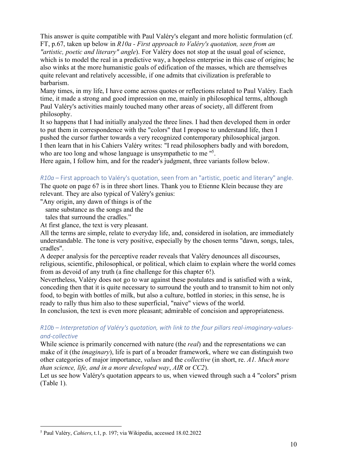This answer is quite compatible with Paul Valéry's elegant and more holistic formulation (cf. FT, p.67, taken up below in *R10a - First approach to Valéry's quotation, seen from an "artistic, poetic and literary" angle*). For Valéry does not stop at the usual goal of science, which is to model the real in a predictive way, a hopeless enterprise in this case of origins; he also winks at the more humanistic goals of edification of the masses, which are themselves quite relevant and relatively accessible, if one admits that civilization is preferable to barbarism.

Many times, in my life, I have come across quotes or reflections related to Paul Valéry. Each time, it made a strong and good impression on me, mainly in philosophical terms, although Paul Valéry's activities mainly touched many other areas of society, all different from philosophy.

It so happens that I had initially analyzed the three lines. I had then developed them in order to put them in correspondence with the "colors" that I propose to understand life, then I pushed the cursor further towards a very recognized contemporary philosophical jargon. I then learn that in his Cahiers Valéry writes: "I read philosophers badly and with boredom, who are too long and whose language is unsympathetic to me<sup>15</sup>.

Here again, I follow him, and for the reader's judgment, three variants follow below.

*R10a –* First approach to Valéry's quotation, seen from an "artistic, poetic and literary" angle. The quote on page 67 is in three short lines. Thank you to Etienne Klein because they are

relevant. They are also typical of Valéry's genius:

"Any origin, any dawn of things is of the

same substance as the songs and the

tales that surround the cradles."

At first glance, the text is very pleasant.

All the terms are simple, relate to everyday life, and, considered in isolation, are immediately understandable. The tone is very positive, especially by the chosen terms "dawn, songs, tales, cradles".

A deeper analysis for the perceptive reader reveals that Valéry denounces all discourses, religious, scientific, philosophical, or political, which claim to explain where the world comes from as devoid of any truth (a fine challenge for this chapter 6!).

Nevertheless, Valéry does not go to war against these postulates and is satisfied with a wink, conceding then that it is quite necessary to surround the youth and to transmit to him not only food, to begin with bottles of milk, but also a culture, bottled in stories; in this sense, he is ready to rally thus him also to these superficial, "naive" views of the world.

In conclusion, the text is even more pleasant; admirable of concision and appropriateness.

*R10b – Interpretation of Valéry's quotation, with link to the four pillars real-imaginary-valuesand-collective*

While science is primarily concerned with nature (the *real*) and the representations we can make of it (the *imaginary*), life is part of a broader framework, where we can distinguish two other categories of major importance, *values* and the *collective* (in short, re. *A1. Much more than science, life, and in a more developed way*, *AIR* or *CC2*).

Let us see how Valéry's quotation appears to us, when viewed through such a 4 "colors" prism (Table 1).

 <sup>5</sup> Paul Valéry, *Cahiers*, t.1, p. 197; via Wikipedia, accessed 18.02.2022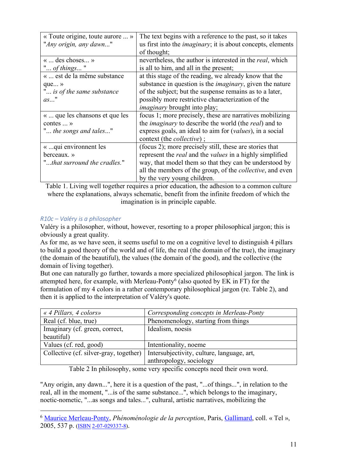| « Toute origine, toute aurore  »<br>"Any origin, any dawn"                               | The text begins with a reference to the past, so it takes<br>us first into the <i>imaginary</i> ; it is about concepts, elements<br>of thought;                                                                                                                                                 |
|------------------------------------------------------------------------------------------|-------------------------------------------------------------------------------------------------------------------------------------------------------------------------------------------------------------------------------------------------------------------------------------------------|
| «  des choses »<br>" of things"                                                          | nevertheless, the author is interested in the <i>real</i> , which<br>is all to him, and all in the present;                                                                                                                                                                                     |
| «  est de la même substance<br>que $\rightarrow$<br>" is of the same substance<br>$as$ " | at this stage of the reading, we already know that the<br>substance in question is the <i>imaginary</i> , given the nature<br>of the subject; but the suspense remains as to a later,<br>possibly more restrictive characterization of the<br><i>imaginary</i> brought into play;               |
| «  que les chansons et que les<br>contes $\dots$ »<br>" the songs and tales"             | focus 1; more precisely, these are narratives mobilizing<br>the <i>imaginary</i> to describe the world (the <i>real</i> ) and to<br>express goals, an ideal to aim for ( <i>values</i> ), in a social<br>context (the <i>collective</i> );                                                      |
| « qui environment les<br>berceaux. »<br>"that surround the cradles."                     | (focus 2); more precisely still, these are stories that<br>represent the <i>real</i> and the <i>values</i> in a highly simplified<br>way, that model them so that they can be understood by<br>all the members of the group, of the <i>collective</i> , and even<br>by the very young children. |

Table 1. Living well together requires a prior education, the adhesion to a common culture where the explanations, always schematic, benefit from the infinite freedom of which the imagination is in principle capable.

# *R10c – Valéry is a philosopher*

Valéry is a philosopher, without, however, resorting to a proper philosophical jargon; this is obviously a great quality.

As for me, as we have seen, it seems useful to me on a cognitive level to distinguish 4 pillars to build a good theory of the world and of life, the real (the domain of the true), the imaginary (the domain of the beautiful), the values (the domain of the good), and the collective (the domain of living together).

But one can naturally go further, towards a more specialized philosophical jargon. The link is attempted here, for example, with Merleau-Ponty<sup>6</sup> (also quoted by EK in FT) for the formulation of my 4 colors in a rather contemporary philosophical jargon (re. Table 2), and then it is applied to the interpretation of Valéry's quote.

| « 4 Pillars, 4 colors»                 | Corresponding concepts in Merleau-Ponty    |
|----------------------------------------|--------------------------------------------|
| Real (cf. blue, true)                  | Phenomenology, starting from things        |
| Imaginary (cf. green, correct,         | Idealism, noesis                           |
| beautiful)                             |                                            |
| Values (cf. red, good)                 | Intentionality, noeme                      |
| Collective (cf. silver-gray, together) | Intersubjectivity, culture, language, art, |
|                                        | anthropology, sociology                    |

Table 2 In philosophy, some very specific concepts need their own word.

"Any origin, any dawn...", here it is a question of the past, "...of things...", in relation to the real, all in the moment, "...is of the same substance...", which belongs to the imaginary, noetic-nometic, "...as songs and tales...", cultural, artistic narratives, mobilizing the

 <sup>6</sup> Maurice Merleau-Ponty, *Phénoménologie de la perception*, Paris, Gallimard, coll. « Tel », 2005, 537 p. (ISBN 2-07-029337-8).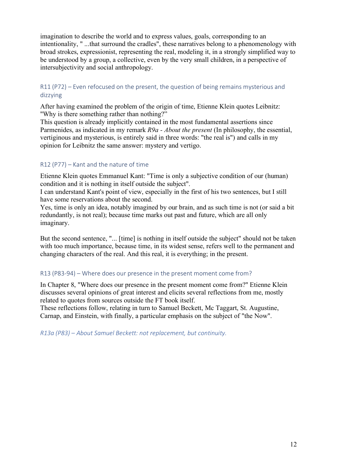imagination to describe the world and to express values, goals, corresponding to an intentionality, " ...that surround the cradles", these narratives belong to a phenomenology with broad strokes, expressionist, representing the real, modeling it, in a strongly simplified way to be understood by a group, a collective, even by the very small children, in a perspective of intersubjectivity and social anthropology.

# R11 (P72) – Even refocused on the present, the question of being remains mysterious and dizzying

After having examined the problem of the origin of time, Etienne Klein quotes Leibnitz: "Why is there something rather than nothing?"

This question is already implicitly contained in the most fundamental assertions since Parmenides, as indicated in my remark *R9a - About the present* (In philosophy, the essential, vertiginous and mysterious, is entirely said in three words: "the real is") and calls in my opinion for Leibnitz the same answer: mystery and vertigo.

# R12 (P77) – Kant and the nature of time

Etienne Klein quotes Emmanuel Kant: "Time is only a subjective condition of our (human) condition and it is nothing in itself outside the subject".

I can understand Kant's point of view, especially in the first of his two sentences, but I still have some reservations about the second.

Yes, time is only an idea, notably imagined by our brain, and as such time is not (or said a bit redundantly, is not real); because time marks out past and future, which are all only imaginary.

But the second sentence, "... [time] is nothing in itself outside the subject" should not be taken with too much importance, because time, in its widest sense, refers well to the permanent and changing characters of the real. And this real, it is everything; in the present.

# R13 (P83-94) – Where does our presence in the present moment come from?

In Chapter 8, "Where does our presence in the present moment come from?" Etienne Klein discusses several opinions of great interest and elicits several reflections from me, mostly related to quotes from sources outside the FT book itself.

These reflections follow, relating in turn to Samuel Beckett, Mc Taggart, St. Augustine, Carnap, and Einstein, with finally, a particular emphasis on the subject of "the Now".

*R13a (P83) – About Samuel Beckett: not replacement, but continuity.*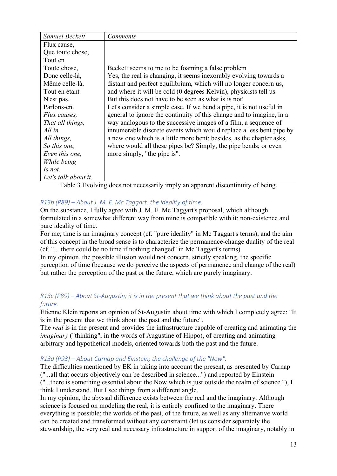| Samuel Beckett       | Comments                                                             |
|----------------------|----------------------------------------------------------------------|
| Flux cause,          |                                                                      |
| Que toute chose,     |                                                                      |
| Tout en              |                                                                      |
| Toute chose,         | Beckett seems to me to be foaming a false problem                    |
| Donc celle-là,       | Yes, the real is changing, it seems inexorably evolving towards a    |
| Même celle-là,       | distant and perfect equilibrium, which will no longer concern us,    |
| Tout en étant        | and where it will be cold (0 degrees Kelvin), physicists tell us.    |
| N'est pas.           | But this does not have to be seen as what is is not!                 |
| Parlons-en.          | Let's consider a simple case. If we bend a pipe, it is not useful in |
| Flux causes,         | general to ignore the continuity of this change and to imagine, in a |
| That all things,     | way analogous to the successive images of a film, a sequence of      |
| All in               | innumerable discrete events which would replace a less bent pipe by  |
| All things,          | a new one which is a little more bent; besides, as the chapter asks, |
| So this one,         | where would all these pipes be? Simply, the pipe bends; or even      |
| Even this one,       | more simply, "the pipe is".                                          |
| While being          |                                                                      |
| Is not.              |                                                                      |
| Let's talk about it. |                                                                      |

Table 3 Evolving does not necessarily imply an apparent discontinuity of being.

# *R13b (P89) – About J. M. E. Mc Taggart: the ideality of time.*

On the substance, I fully agree with J. M. E. Mc Taggart's proposal, which although formulated in a somewhat different way from mine is compatible with it: non-existence and pure ideality of time.

For me, time is an imaginary concept (cf. "pure ideality" in Mc Taggart's terms), and the aim of this concept in the broad sense is to characterize the permanence-change duality of the real (cf. "... there could be no time if nothing changed" in Mc Taggart's terms).

In my opinion, the possible illusion would not concern, strictly speaking, the specific perception of time (because we do perceive the aspects of permanence and change of the real) but rather the perception of the past or the future, which are purely imaginary.

# *R13c (P89) – About St-Augustin; it is in the present that we think about the past and the future.*

Etienne Klein reports an opinion of St-Augustin about time with which I completely agree: "It is in the present that we think about the past and the future".

The *real* is in the present and provides the infrastructure capable of creating and animating the *imaginary* ("thinking", in the words of Augustine of Hippo), of creating and animating arbitrary and hypothetical models, oriented towards both the past and the future.

# *R13d (P93) – About Carnap and Einstein; the challenge of the "Now".*

The difficulties mentioned by EK in taking into account the present, as presented by Carnap ("...all that occurs objectively can be described in science...") and reported by Einstein ("...there is something essential about the Now which is just outside the realm of science."), I think I understand. But I see things from a different angle.

In my opinion, the abyssal difference exists between the real and the imaginary. Although science is focused on modeling the real, it is entirely confined to the imaginary. There everything is possible; the worlds of the past, of the future, as well as any alternative world can be created and transformed without any constraint (let us consider separately the stewardship, the very real and necessary infrastructure in support of the imaginary, notably in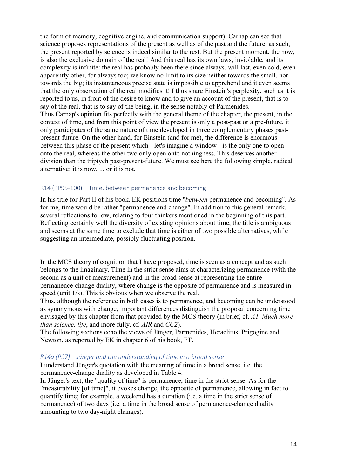the form of memory, cognitive engine, and communication support). Carnap can see that science proposes representations of the present as well as of the past and the future; as such, the present reported by science is indeed similar to the rest. But the present moment, the now, is also the exclusive domain of the real! And this real has its own laws, inviolable, and its complexity is infinite: the real has probably been there since always, will last, even cold, even apparently other, for always too; we know no limit to its size neither towards the small, nor towards the big; its instantaneous precise state is impossible to apprehend and it even seems that the only observation of the real modifies it! I thus share Einstein's perplexity, such as it is reported to us, in front of the desire to know and to give an account of the present, that is to say of the real, that is to say of the being, in the sense notably of Parmenides. Thus Carnap's opinion fits perfectly with the general theme of the chapter, the present, in the context of time, and from this point of view the present is only a post-past or a pre-future, it only participates of the same nature of time developed in three complementary phases pastpresent-future. On the other hand, for Einstein (and for me), the difference is enormous between this phase of the present which - let's imagine a window - is the only one to open onto the real, whereas the other two only open onto nothingness. This deserves another division than the triptych past-present-future. We must see here the following simple, radical alternative: it is now, ... or it is not.

#### R14 (PP95-100) – Time, between permanence and becoming

In his title for Part II of his book, EK positions time "*between* permanence and becoming". As for me, time would be rather "permanence and change". In addition to this general remark, several reflections follow, relating to four thinkers mentioned in the beginning of this part. Reflecting certainly well the diversity of existing opinions about time, the title is ambiguous and seems at the same time to exclude that time is either of two possible alternatives, while suggesting an intermediate, possibly fluctuating position.

In the MCS theory of cognition that I have proposed, time is seen as a concept and as such belongs to the imaginary. Time in the strict sense aims at characterizing permanence (with the second as a unit of measurement) and in the broad sense at representing the entire permanence-change duality, where change is the opposite of permanence and is measured in speed (unit 1/s). This is obvious when we observe the real.

Thus, although the reference in both cases is to permanence, and becoming can be understood as synonymous with change, important differences distinguish the proposal concerning time envisaged by this chapter from that provided by the MCS theory (in brief, cf. *A1. Much more than science, life*, and more fully, cf. *AIR* and *CC2*).

The following sections echo the views of Jünger, Parmenides, Heraclitus, Prigogine and Newton, as reported by EK in chapter 6 of his book, FT.

#### *R14a (P97) – Jünger and the understanding of time in a broad sense*

I understand Jünger's quotation with the meaning of time in a broad sense, i.e. the permanence-change duality as developed in Table 4.

In Jünger's text, the "quality of time" is permanence, time in the strict sense. As for the "measurability [of time]", it evokes change, the opposite of permanence, allowing in fact to quantify time; for example, a weekend has a duration (i.e. a time in the strict sense of permanence) of two days (i.e. a time in the broad sense of permanence-change duality amounting to two day-night changes).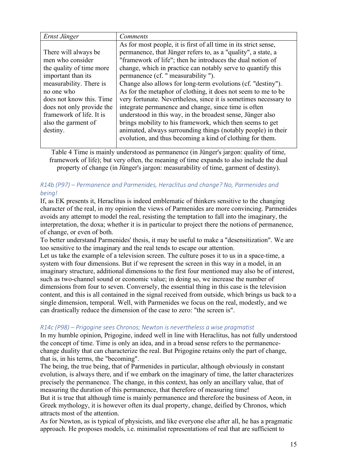| Ernst Jünger              | <b>Comments</b>                                                  |
|---------------------------|------------------------------------------------------------------|
|                           | As for most people, it is first of all time in its strict sense, |
| There will always be      | permanence, that Jünger refers to, as a "quality", a state, a    |
| men who consider          | "framework of life"; then he introduces the dual notion of       |
| the quality of time more  | change, which in practice can notably serve to quantify this     |
| important than its        | permanence (cf. " measurability ").                              |
| measurability. There is   | Change also allows for long-term evolutions (cf. "destiny").     |
| no one who                | As for the metaphor of clothing, it does not seem to me to be    |
| does not know this. Time  | very fortunate. Nevertheless, since it is sometimes necessary to |
| does not only provide the | integrate permanence and change, since time is often             |
| framework of life. It is  | understood in this way, in the broadest sense, Jünger also       |
| also the garment of       | brings mobility to his framework, which then seems to get        |
| destiny.                  | animated, always surrounding things (notably people) in their    |
|                           | evolution, and thus becoming a kind of clothing for them.        |
|                           |                                                                  |

Table 4 Time is mainly understood as permanence (in Jünger's jargon: quality of time, framework of life); but very often, the meaning of time expands to also include the dual property of change (in Jünger's jargon: measurability of time, garment of destiny).

# *R14b (P97) – Permanence and Parmenides, Heraclitus and change? No, Parmenides and being!*

If, as EK presents it, Heraclitus is indeed emblematic of thinkers sensitive to the changing character of the real, in my opinion the views of Parmenides are more convincing. Parmenides avoids any attempt to model the real, resisting the temptation to fall into the imaginary, the interpretation, the doxa; whether it is in particular to project there the notions of permanence, of change, or even of both.

To better understand Parmenides' thesis, it may be useful to make a "desensitization". We are too sensitive to the imaginary and the real tends to escape our attention.

Let us take the example of a television screen. The culture poses it to us in a space-time, a system with four dimensions. But if we represent the screen in this way in a model, in an imaginary structure, additional dimensions to the first four mentioned may also be of interest, such as two-channel sound or economic value; in doing so, we increase the number of dimensions from four to seven. Conversely, the essential thing in this case is the television content, and this is all contained in the signal received from outside, which brings us back to a single dimension, temporal. Well, with Parmenides we focus on the real, modestly, and we can drastically reduce the dimension of the case to zero: "the screen is".

#### *R14c (P98) – Prigogine sees Chronos; Newton is nevertheless a wise pragmatist*

In my humble opinion, Prigogine, indeed well in line with Heraclitus, has not fully understood the concept of time. Time is only an idea, and in a broad sense refers to the permanencechange duality that can characterize the real. But Prigogine retains only the part of change, that is, in his terms, the "becoming".

The being, the true being, that of Parmenides in particular, although obviously in constant evolution, is always there, and if we embark on the imaginary of time, the latter characterizes precisely the permanence. The change, in this context, has only an ancillary value, that of measuring the duration of this permanence, that therefore of measuring time! But it is true that although time is mainly permanence and therefore the business of Aeon, in Greek mythology, it is however often its dual property, change, deified by Chronos, which attracts most of the attention.

As for Newton, as is typical of physicists, and like everyone else after all, he has a pragmatic approach. He proposes models, i.e. minimalist representations of real that are sufficient to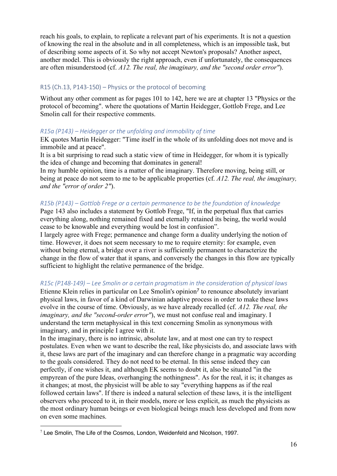reach his goals, to explain, to replicate a relevant part of his experiments. It is not a question of knowing the real in the absolute and in all completeness, which is an impossible task, but of describing some aspects of it. So why not accept Newton's proposals? Another aspect, another model. This is obviously the right approach, even if unfortunately, the consequences are often misunderstood (cf. *A12. The real, the imaginary, and the "second order error"*).

### R15 (Ch.13, P143-150) – Physics or the protocol of becoming

Without any other comment as for pages 101 to 142, here we are at chapter 13 "Physics or the protocol of becoming". where the quotations of Martin Heidegger, Gottlob Frege, and Lee Smolin call for their respective comments.

### *R15a (P143) – Heidegger or the unfolding and immobility of time*

EK quotes Martin Heidegger: "Time itself in the whole of its unfolding does not move and is immobile and at peace".

It is a bit surprising to read such a static view of time in Heidegger, for whom it is typically the idea of change and becoming that dominates in general!

In my humble opinion, time is a matter of the imaginary. Therefore moving, being still, or being at peace do not seem to me to be applicable properties (cf. *A12. The real, the imaginary, and the "error of order 2"*).

### *R15b (P143) – Gottlob Frege or a certain permanence to be the foundation of knowledge*

Page 143 also includes a statement by Gottlob Frege, "If, in the perpetual flux that carries everything along, nothing remained fixed and eternally retained its being, the world would cease to be knowable and everything would be lost in confusion".

I largely agree with Frege; permanence and change form a duality underlying the notion of time. However, it does not seem necessary to me to require eternity: for example, even without being eternal, a bridge over a river is sufficiently permanent to characterize the change in the flow of water that it spans, and conversely the changes in this flow are typically sufficient to highlight the relative permanence of the bridge.

# *R15c (P148-149) – Lee Smolin or a certain pragmatism in the consideration of physical laws*

Etienne Klein relies in particular on Lee Smolin's opinion<sup>7</sup> to renounce absolutely invariant physical laws, in favor of a kind of Darwinian adaptive process in order to make these laws evolve in the course of time. Obviously, as we have already recalled (cf. *A12. The real, the imaginary, and the "second-order error"*), we must not confuse real and imaginary. I understand the term metaphysical in this text concerning Smolin as synonymous with imaginary, and in principle I agree with it.

In the imaginary, there is no intrinsic, absolute law, and at most one can try to respect postulates. Even when we want to describe the real, like physicists do, and associate laws with it, these laws are part of the imaginary and can therefore change in a pragmatic way according to the goals considered. They do not need to be eternal. In this sense indeed they can perfectly, if one wishes it, and although EK seems to doubt it, also be situated "in the empyrean of the pure Ideas, overhanging the nothingness". As for the real, it is; it changes as it changes; at most, the physicist will be able to say "everything happens as if the real followed certain laws". If there is indeed a natural selection of these laws, it is the intelligent observers who proceed to it, in their models, more or less explicit, as much the physicists as the most ordinary human beings or even biological beings much less developed and from now on even some machines.

<sup>&</sup>lt;sup>7</sup> Lee Smolin, The Life of the Cosmos, London, Weidenfeld and Nicolson, 1997.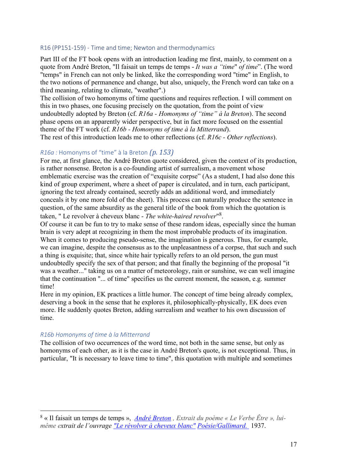#### R16 (PP151-159) - Time and time; Newton and thermodynamics

Part III of the FT book opens with an introduction leading me first, mainly, to comment on a quote from André Breton, "Il faisait un temps de temps - *It was a "time*" *of time*". (The word "temps" in French can not only be linked, like the corresponding word "time" in English, to the two notions of permanence and change, but also, uniquely, the French word can take on a third meaning, relating to climate, "weather".)

The collision of two homonyms of time questions and requires reflection. I will comment on this in two phases, one focusing precisely on the quotation, from the point of view undoubtedly adopted by Breton (cf. *R16a - Homonyms of "time" à la Breton*). The second phase opens on an apparently wider perspective, but in fact more focused on the essential theme of the FT work (cf. *R16b - Homonyms of time à la Mitterrand*).

The rest of this introduction leads me to other reflections (cf. *R16c - Other reflections*).

#### *R16a* : Homonyms of "time" à la Breton *(p. 153)*

For me, at first glance, the André Breton quote considered, given the context of its production, is rather nonsense. Breton is a co-founding artist of surrealism, a movement whose emblematic exercise was the creation of "exquisite corpse" (As a student, I had also done this kind of group experiment, where a sheet of paper is circulated, and in turn, each participant, ignoring the text already contained, secretly adds an additional word, and immediately conceals it by one more fold of the sheet). This process can naturally produce the sentence in question, of the same absurdity as the general title of the book from which the quotation is taken, " Le revolver à cheveux blanc - *The white-haired revolver*"8.

Of course it can be fun to try to make sense of these random ideas, especially since the human brain is very adept at recognizing in them the most improbable products of its imagination. When it comes to producing pseudo-sense, the imagination is generous. Thus, for example, we can imagine, despite the consensus as to the unpleasantness of a corpse, that such and such a thing is exquisite; that, since white hair typically refers to an old person, the gun must undoubtedly specify the sex of that person; and that finally the beginning of the proposal "it was a weather..." taking us on a matter of meteorology, rain or sunshine, we can well imagine that the continuation "... of time" specifies us the current moment, the season, e.g. summer time!

Here in my opinion, EK practices a little humor. The concept of time being already complex, deserving a book in the sense that he explores it, philosophically-physically, EK does even more. He suddenly quotes Breton, adding surrealism and weather to his own discussion of time.

#### *R16b Homonyms of time à la Mitterrand*

The collision of two occurrences of the word time, not both in the same sense, but only as homonyms of each other, as it is the case in André Breton's quote, is not exceptional. Thus, in particular, "It is necessary to leave time to time", this quotation with multiple and sometimes

 8 « Il faisait un temps de temps », *André Breton , Extrait du poème « Le Verbe Être », luimême extrait de l'ouvrage "Le révolver à cheveux blanc" Poésie/Gallimard.* 1937.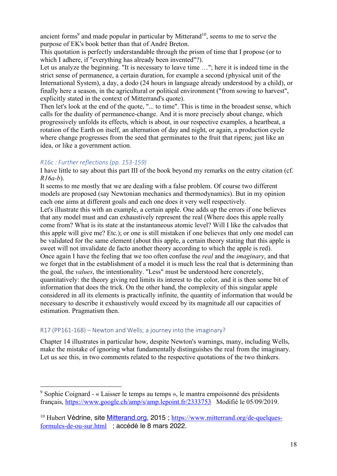ancient forms<sup>9</sup> and made popular in particular by Mitterand<sup>10</sup>, seems to me to serve the purpose of EK's book better than that of André Breton.

This quotation is perfectly understandable through the prism of time that I propose (or to which I adhere, if "everything has already been invented"?).

Let us analyze the beginning. "It is necessary to leave time …"; here it is indeed time in the strict sense of permanence, a certain duration, for example a second (physical unit of the International System), a day, a dodo (24 hours in language already understood by a child), or finally here a season, in the agricultural or political environment ("from sowing to harvest", explicitly stated in the context of Mitterrand's quote).

Then let's look at the end of the quote, "... to time". This is time in the broadest sense, which calls for the duality of permanence-change. And it is more precisely about change, which progressively unfolds its effects, which is about, in our respective examples, a heartbeat, a rotation of the Earth on itself, an alternation of day and night, or again, a production cycle where change progresses from the seed that germinates to the fruit that ripens; just like an idea, or like a government action.

# *R16c : Further reflections (pp. 153-159)*

I have little to say about this part III of the book beyond my remarks on the entry citation (cf. *R16a-b*).

It seems to me mostly that we are dealing with a false problem. Of course two different models are proposed (say Newtonian mechanics and thermodynamics). But in my opinion each one aims at different goals and each one does it very well respectively.

Let's illustrate this with an example, a certain apple. One adds up the errors if one believes that any model must and can exhaustively represent the real (Where does this apple really come from? What is its state at the instantaneous atomic level? Will I like the calvados that this apple will give me? Etc.); or one is still mistaken if one believes that only one model can be validated for the same element (about this apple, a certain theory stating that this apple is sweet will not invalidate de facto another theory according to which the apple is red). Once again I have the feeling that we too often confuse the *real* and the *imaginary*, and that we forget that in the establishment of a model it is much less the real that is determining than the goal, the *values*, the intentionality. "Less" must be understood here concretely, quantitatively: the theory giving red limits its interest to the color, and it is then some bit of information that does the trick. On the other hand, the complexity of this singular apple considered in all its elements is practically infinite, the quantity of information that would be necessary to describe it exhaustively would exceed by its magnitude all our capacities of estimation. Pragmatism then.

# R17 (PP161-168) – Newton and Wells; a journey into the imaginary?

Chapter 14 illustrates in particular how, despite Newton's warnings, many, including Wells, make the mistake of ignoring what fundamentally distinguishes the real from the imaginary. Let us see this, in two comments related to the respective quotations of the two thinkers.

 <sup>9</sup> Sophie Coignard - « Laisser le temps au temps », le mantra empoisonné des présidents français, https://www.google.ch/amp/s/amp.lepoint.fr/2333753 Modifié le 05/09/2019.

<sup>&</sup>lt;sup>10</sup> Hubert Védrine, site Mitterand.org, 2015 ; https://www.mitterrand.org/de-quelquesformules-de-ou-sur.html ; accédé le 8 mars 2022.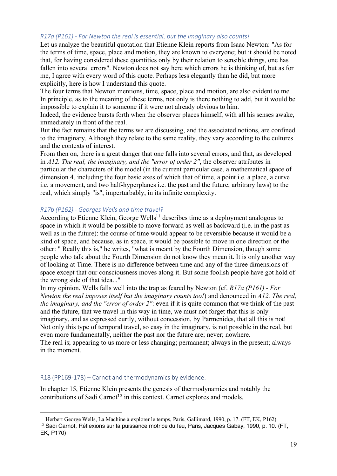### *R17a (P161) - For Newton the real is essential, but the imaginary also counts!*

Let us analyze the beautiful quotation that Etienne Klein reports from Isaac Newton: "As for the terms of time, space, place and motion, they are known to everyone; but it should be noted that, for having considered these quantities only by their relation to sensible things, one has fallen into several errors". Newton does not say here which errors he is thinking of, but as for me, I agree with every word of this quote. Perhaps less elegantly than he did, but more explicitly, here is how I understand this quote.

The four terms that Newton mentions, time, space, place and motion, are also evident to me. In principle, as to the meaning of these terms, not only is there nothing to add, but it would be impossible to explain it to someone if it were not already obvious to him.

Indeed, the evidence bursts forth when the observer places himself, with all his senses awake, immediately in front of the real.

But the fact remains that the terms we are discussing, and the associated notions, are confined to the imaginary. Although they relate to the same reality, they vary according to the cultures and the contexts of interest.

From then on, there is a great danger that one falls into several errors, and that, as developed in *A12. The real, the imaginary, and the "error of order 2"*, the observer attributes in particular the characters of the model (in the current particular case, a mathematical space of dimension 4, including the four basic axes of which that of time, a point i.e. a place, a curve i.e. a movement, and two half-hyperplanes i.e. the past and the future; arbitrary laws) to the real, which simply "is", imperturbably, in its infinite complexity.

#### *R17b (P162) - Georges Wells and time travel?*

According to Etienne Klein, George Wells<sup>11</sup> describes time as a deployment analogous to space in which it would be possible to move forward as well as backward (i.e. in the past as well as in the future): the course of time would appear to be reversible because it would be a kind of space, and because, as in space, it would be possible to move in one direction or the other: " Really this is," he writes, "what is meant by the Fourth Dimension, though some people who talk about the Fourth Dimension do not know they mean it. It is only another way of looking at Time. There is no difference between time and any of the three dimensions of space except that our consciousness moves along it. But some foolish people have got hold of the wrong side of that idea..."

In my opinion, Wells falls well into the trap as feared by Newton (cf. *R17a (P161) - For Newton the real imposes itself but the imaginary counts too!*) and denounced in *A12. The real, the imaginary, and the "error of order 2"*: even if it is quite common that we think of the past and the future, that we travel in this way in time, we must not forget that this is only imaginary, and as expressed curtly, without concession, by Parmenides, that all this is not! Not only this type of temporal travel, so easy in the imaginary, is not possible in the real, but even more fundamentally, neither the past nor the future are; never; nowhere. The real is; appearing to us more or less changing; permanent; always in the present; always in the moment.

#### R18 (PP169-178) – Carnot and thermodynamics by evidence.

In chapter 15, Etienne Klein presents the genesis of thermodynamics and notably the contributions of Sadi Carnot<sup>12</sup> in this context. Carnot explores and models.

<sup>&</sup>lt;sup>11</sup> Herbert George Wells, La Machine à explorer le temps, Paris, Gallimard, 1990, p. 17. (FT, EK, P162)

<sup>&</sup>lt;sup>12</sup> Sadi Carnot, Réflexions sur la puissance motrice du feu, Paris, Jacques Gabay, 1990, p. 10. (FT, EK, P170)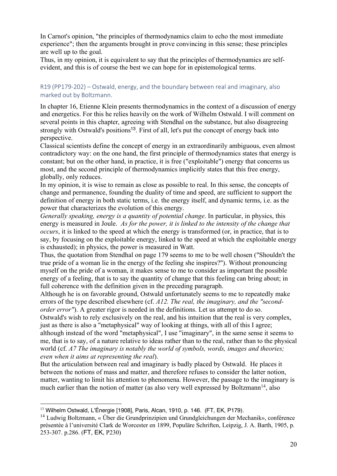In Carnot's opinion, "the principles of thermodynamics claim to echo the most immediate experience"; then the arguments brought in prove convincing in this sense; these principles are well up to the goal.

Thus, in my opinion, it is equivalent to say that the principles of thermodynamics are selfevident, and this is of course the best we can hope for in epistemological terms.

# R19 (PP179-202) – Ostwald, energy, and the boundary between real and imaginary, also marked out by Boltzmann.

In chapter 16, Etienne Klein presents thermodynamics in the context of a discussion of energy and energetics. For this he relies heavily on the work of Wilhelm Ostwald. I will comment on several points in this chapter, agreeing with Stendhal on the substance, but also disagreeing strongly with Ostwald's positions<sup>13</sup>. First of all, let's put the concept of energy back into perspective.

Classical scientists define the concept of energy in an extraordinarily ambiguous, even almost contradictory way: on the one hand, the first principle of thermodynamics states that energy is constant; but on the other hand, in practice, it is free ("exploitable") energy that concerns us most, and the second principle of thermodynamics implicitly states that this free energy, globally, only reduces.

In my opinion, it is wise to remain as close as possible to real. In this sense, the concepts of change and permanence, founding the duality of time and speed, are sufficient to support the definition of energy in both static terms, i.e. the energy itself, and dynamic terms, i.e. as the power that characterizes the evolution of this energy.

*Generally speaking, energy is a quantity of potential change*. In particular, in physics, this energy is measured in Joule. *As for the power, it is linked to the intensity of the change that occurs*, it is linked to the speed at which the energy is transformed (or, in practice, that is to say, by focusing on the exploitable energy, linked to the speed at which the exploitable energy is exhausted); in physics, the power is measured in Watt.

Thus, the quotation from Stendhal on page 179 seems to me to be well chosen ("Shouldn't the true pride of a woman lie in the energy of the feeling she inspires?"). Without pronouncing myself on the pride of a woman, it makes sense to me to consider as important the possible energy of a feeling, that is to say the quantity of change that this feeling can bring about; in full coherence with the definition given in the preceding paragraph.

Although he is on favorable ground, Ostwald unfortunately seems to me to repeatedly make errors of the type described elsewhere (cf. *A12. The real, the imaginary, and the "secondorder error*"). A greater rigor is needed in the definitions. Let us attempt to do so.

Ostwald's wish to rely exclusively on the real, and his intuition that the real is very complex, just as there is also a "metaphysical" way of looking at things, with all of this I agree;

although instead of the word "metaphysical", I use "imaginary", in the same sense it seems to me, that is to say, of a nature relative to ideas rather than to the real, rather than to the physical world (cf. *A7 The imaginary is notably the world of symbols, words, images and theories; even when it aims at representing the real*).

But the articulation between real and imaginary is badly placed by Ostwald. He places it between the notions of mass and matter, and therefore refuses to consider the latter notion, matter, wanting to limit his attention to phenomena. However, the passage to the imaginary is much earlier than the notion of matter (as also very well expressed by Boltzmann<sup>14</sup>, also

<sup>&</sup>lt;sup>13</sup> Wilhelm Ostwald, L'Énergie [1908], Paris, Alcan, 1910, p. 146. (FT, EK, P179).

<sup>14</sup> Ludwig Boltzmann, « Über die Grundprinzipien und Grundgleichungen der Mechanik», conférence présentée à l'université Clark de Worcester en 1899, Populäre Schriften, Leipzig, J. A. Barth, 1905, p. 253-307. p.286. (FT, EK, P230)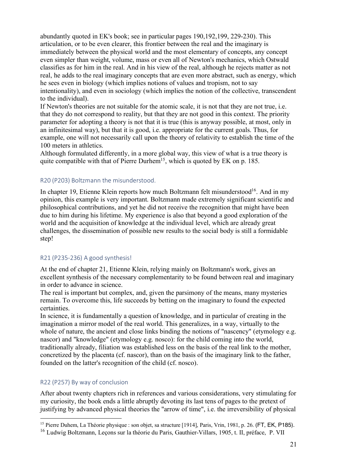abundantly quoted in EK's book; see in particular pages 190,192,199, 229-230). This articulation, or to be even clearer, this frontier between the real and the imaginary is immediately between the physical world and the most elementary of concepts, any concept even simpler than weight, volume, mass or even all of Newton's mechanics, which Ostwald classifies as for him in the real. And in his view of the real, although he rejects matter as not real, he adds to the real imaginary concepts that are even more abstract, such as energy, which he sees even in biology (which implies notions of values and tropism, not to say intentionality), and even in sociology (which implies the notion of the collective, transcendent to the individual).

If Newton's theories are not suitable for the atomic scale, it is not that they are not true, i.e. that they do not correspond to reality, but that they are not good in this context. The priority parameter for adopting a theory is not that it is true (this is anyway possible, at most, only in an infinitesimal way), but that it is good, i.e. appropriate for the current goals. Thus, for example, one will not necessarily call upon the theory of relativity to establish the time of the 100 meters in athletics.

Although formulated differently, in a more global way, this view of what is a true theory is quite compatible with that of Pierre Durhem<sup>15</sup>, which is quoted by EK on p. 185.

# R20 (P203) Boltzmann the misunderstood.

In chapter 19, Etienne Klein reports how much Boltzmann felt misunderstood<sup>16</sup>. And in my opinion, this example is very important. Boltzmann made extremely significant scientific and philosophical contributions, and yet he did not receive the recognition that might have been due to him during his lifetime. My experience is also that beyond a good exploration of the world and the acquisition of knowledge at the individual level, which are already great challenges, the dissemination of possible new results to the social body is still a formidable step!

#### R21 (P235-236) A good synthesis!

At the end of chapter 21, Etienne Klein, relying mainly on Boltzmann's work, gives an excellent synthesis of the necessary complementarity to be found between real and imaginary in order to advance in science.

The real is important but complex, and, given the parsimony of the means, many mysteries remain. To overcome this, life succeeds by betting on the imaginary to found the expected certainties.

In science, it is fundamentally a question of knowledge, and in particular of creating in the imagination a mirror model of the real world. This generalizes, in a way, virtually to the whole of nature, the ancient and close links binding the notions of "nascency" (etymology e.g. nascor) and "knowledge" (etymology e.g. nosco): for the child coming into the world, traditionally already, filiation was established less on the basis of the real link to the mother, concretized by the placenta (cf. nascor), than on the basis of the imaginary link to the father, founded on the latter's recognition of the child (cf. nosco).

# R22 (P257) By way of conclusion

After about twenty chapters rich in references and various considerations, very stimulating for my curiosity, the book ends a little abruptly devoting its last tens of pages to the pretext of justifying by advanced physical theories the "arrow of time", i.e. the irreversibility of physical

<sup>&</sup>lt;sup>15</sup> Pierre Duhem, La Théorie physique : son objet, sa structure [1914], Paris, Vrin, 1981, p. 26. (FT, EK, P185).

<sup>&</sup>lt;sup>16</sup> Ludwig Boltzmann, Lecons sur la théorie du Paris, Gauthier-Villars, 1905, t. II, préface, P. VII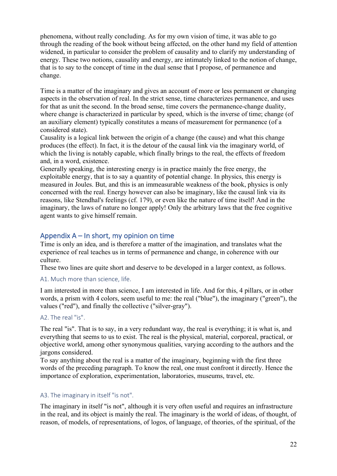phenomena, without really concluding. As for my own vision of time, it was able to go through the reading of the book without being affected, on the other hand my field of attention widened, in particular to consider the problem of causality and to clarify my understanding of energy. These two notions, causality and energy, are intimately linked to the notion of change, that is to say to the concept of time in the dual sense that I propose, of permanence and change.

Time is a matter of the imaginary and gives an account of more or less permanent or changing aspects in the observation of real. In the strict sense, time characterizes permanence, and uses for that as unit the second. In the broad sense, time covers the permanence-change duality, where change is characterized in particular by speed, which is the inverse of time; change (of an auxiliary element) typically constitutes a means of measurement for permanence (of a considered state).

Causality is a logical link between the origin of a change (the cause) and what this change produces (the effect). In fact, it is the detour of the causal link via the imaginary world, of which the living is notably capable, which finally brings to the real, the effects of freedom and, in a word, existence.

Generally speaking, the interesting energy is in practice mainly the free energy, the exploitable energy, that is to say a quantity of potential change. In physics, this energy is measured in Joules. But, and this is an immeasurable weakness of the book, physics is only concerned with the real. Energy however can also be imaginary, like the causal link via its reasons, like Stendhal's feelings (cf. 179), or even like the nature of time itself! And in the imaginary, the laws of nature no longer apply! Only the arbitrary laws that the free cognitive agent wants to give himself remain.

# Appendix A – In short, my opinion on time

Time is only an idea, and is therefore a matter of the imagination, and translates what the experience of real teaches us in terms of permanence and change, in coherence with our culture.

These two lines are quite short and deserve to be developed in a larger context, as follows.

# A1. Much more than science, life.

I am interested in more than science, I am interested in life. And for this, 4 pillars, or in other words, a prism with 4 colors, seem useful to me: the real ("blue"), the imaginary ("green"), the values ("red"), and finally the collective ("silver-gray").

# A2. The real "is".

The real "is". That is to say, in a very redundant way, the real is everything; it is what is, and everything that seems to us to exist. The real is the physical, material, corporeal, practical, or objective world, among other synonymous qualities, varying according to the authors and the jargons considered.

To say anything about the real is a matter of the imaginary, beginning with the first three words of the preceding paragraph. To know the real, one must confront it directly. Hence the importance of exploration, experimentation, laboratories, museums, travel, etc.

# A3. The imaginary in itself "is not".

The imaginary in itself "is not", although it is very often useful and requires an infrastructure in the real, and its object is mainly the real. The imaginary is the world of ideas, of thought, of reason, of models, of representations, of logos, of language, of theories, of the spiritual, of the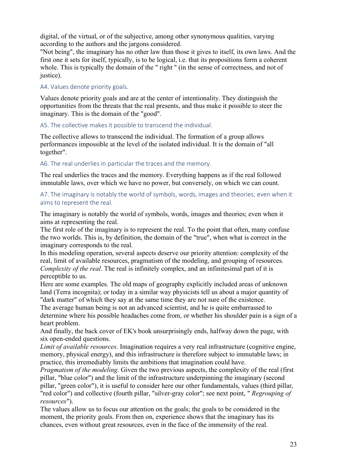digital, of the virtual, or of the subjective, among other synonymous qualities, varying according to the authors and the jargons considered.

"Not being", the imaginary has no other law than those it gives to itself, its own laws. And the first one it sets for itself, typically, is to be logical, i.e. that its propositions form a coherent whole. This is typically the domain of the " right " (in the sense of correctness, and not of justice).

# A4. Values denote priority goals.

Values denote priority goals and are at the center of intentionality. They distinguish the opportunities from the threats that the real presents, and thus make it possible to steer the imaginary. This is the domain of the "good".

A5. The collective makes it possible to transcend the individual.

The collective allows to transcend the individual. The formation of a group allows performances impossible at the level of the isolated individual. It is the domain of "all together".

A6. The real underlies in particular the traces and the memory.

The real underlies the traces and the memory. Everything happens as if the real followed immutable laws, over which we have no power, but conversely, on which we can count.

A7. The imaginary is notably the world of symbols, words, images and theories; even when it aims to represent the real.

The imaginary is notably the world of symbols, words, images and theories; even when it aims at representing the real.

The first role of the imaginary is to represent the real. To the point that often, many confuse the two worlds. This is, by definition, the domain of the "true", when what is correct in the imaginary corresponds to the real.

In this modeling operation, several aspects deserve our priority attention: complexity of the real, limit of available resources, pragmatism of the modeling, and grouping of resources. *Complexity of the real*. The real is infinitely complex, and an infinitesimal part of it is perceptible to us.

Here are some examples. The old maps of geography explicitly included areas of unknown land (Terra incognita); or today in a similar way physicists tell us about a major quantity of "dark matter" of which they say at the same time they are not sure of the existence.

The average human being is not an advanced scientist, and he is quite embarrassed to determine where his possible headaches come from, or whether his shoulder pain is a sign of a heart problem.

And finally, the back cover of EK's book unsurprisingly ends, halfway down the page, with six open-ended questions.

*Limit of available resources*. Imagination requires a very real infrastructure (cognitive engine, memory, physical energy), and this infrastructure is therefore subject to immutable laws; in practice, this irremediably limits the ambitions that imagination could have.

*Pragmatism of the modeling*. Given the two previous aspects, the complexity of the real (first pillar, "blue color") and the limit of the infrastructure underpinning the imaginary (second pillar, "green color"), it is useful to consider here our other fundamentals, values (third pillar, "red color") and collective (fourth pillar, "silver-gray color"; see next point, " *Regrouping of resources*").

The values allow us to focus our attention on the goals; the goals to be considered in the moment, the priority goals. From then on, experience shows that the imaginary has its chances, even without great resources, even in the face of the immensity of the real.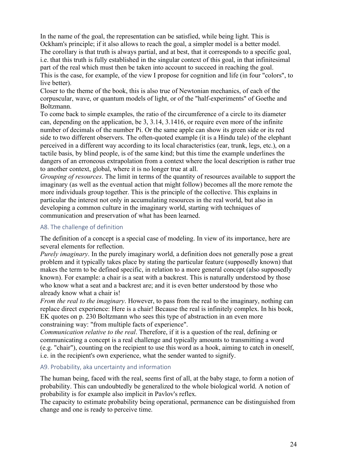In the name of the goal, the representation can be satisfied, while being light. This is Ockham's principle; if it also allows to reach the goal, a simpler model is a better model. The corollary is that truth is always partial, and at best, that it corresponds to a specific goal, i.e. that this truth is fully established in the singular context of this goal, in that infinitesimal part of the real which must then be taken into account to succeed in reaching the goal. This is the case, for example, of the view I propose for cognition and life (in four "colors", to live better).

Closer to the theme of the book, this is also true of Newtonian mechanics, of each of the corpuscular, wave, or quantum models of light, or of the "half-experiments" of Goethe and Boltzmann.

To come back to simple examples, the ratio of the circumference of a circle to its diameter can, depending on the application, be 3, 3.14, 3.1416, or require even more of the infinite number of decimals of the number Pi. Or the same apple can show its green side or its red side to two different observers. The often-quoted example (it is a Hindu tale) of the elephant perceived in a different way according to its local characteristics (ear, trunk, legs, etc.), on a tactile basis, by blind people, is of the same kind; but this time the example underlines the dangers of an erroneous extrapolation from a context where the local description is rather true to another context, global, where it is no longer true at all.

*Grouping of resources*. The limit in terms of the quantity of resources available to support the imaginary (as well as the eventual action that might follow) becomes all the more remote the more individuals group together. This is the principle of the collective. This explains in particular the interest not only in accumulating resources in the real world, but also in developing a common culture in the imaginary world, starting with techniques of communication and preservation of what has been learned.

### A8. The challenge of definition

The definition of a concept is a special case of modeling. In view of its importance, here are several elements for reflection.

*Purely imaginary*. In the purely imaginary world, a definition does not generally pose a great problem and it typically takes place by stating the particular feature (supposedly known) that makes the term to be defined specific, in relation to a more general concept (also supposedly known). For example: a chair is a seat with a backrest. This is naturally understood by those who know what a seat and a backrest are; and it is even better understood by those who already know what a chair is!

*From the real to the imaginary*. However, to pass from the real to the imaginary, nothing can replace direct experience: Here is a chair! Because the real is infinitely complex. In his book, EK quotes on p. 230 Boltzmann who sees this type of abstraction in an even more constraining way: "from multiple facts of experience".

*Communication relative to the real*. Therefore, if it is a question of the real, defining or communicating a concept is a real challenge and typically amounts to transmitting a word (e.g. "chair"), counting on the recipient to use this word as a hook, aiming to catch in oneself, i.e. in the recipient's own experience, what the sender wanted to signify.

#### A9. Probability, aka uncertainty and information

The human being, faced with the real, seems first of all, at the baby stage, to form a notion of probability. This can undoubtedly be generalized to the whole biological world. A notion of probability is for example also implicit in Pavlov's reflex.

The capacity to estimate probability being operational, permanence can be distinguished from change and one is ready to perceive time.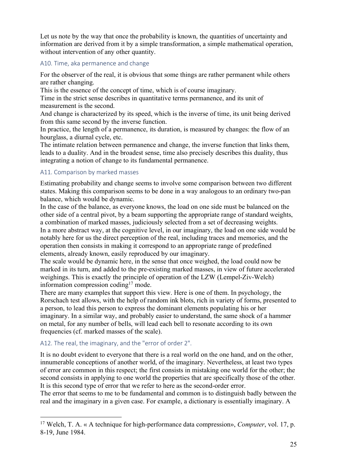Let us note by the way that once the probability is known, the quantities of uncertainty and information are derived from it by a simple transformation, a simple mathematical operation, without intervention of any other quantity.

#### A10. Time, aka permanence and change

For the observer of the real, it is obvious that some things are rather permanent while others are rather changing.

This is the essence of the concept of time, which is of course imaginary.

Time in the strict sense describes in quantitative terms permanence, and its unit of measurement is the second.

And change is characterized by its speed, which is the inverse of time, its unit being derived from this same second by the inverse function.

In practice, the length of a permanence, its duration, is measured by changes: the flow of an hourglass, a diurnal cycle, etc.

The intimate relation between permanence and change, the inverse function that links them, leads to a duality. And in the broadest sense, time also precisely describes this duality, thus integrating a notion of change to its fundamental permanence.

#### A11. Comparison by marked masses

Estimating probability and change seems to involve some comparison between two different states. Making this comparison seems to be done in a way analogous to an ordinary two-pan balance, which would be dynamic.

In the case of the balance, as everyone knows, the load on one side must be balanced on the other side of a central pivot, by a beam supporting the appropriate range of standard weights, a combination of marked masses, judiciously selected from a set of decreasing weights. In a more abstract way, at the cognitive level, in our imaginary, the load on one side would be notably here for us the direct perception of the real, including traces and memories, and the operation then consists in making it correspond to an appropriate range of predefined elements, already known, easily reproduced by our imaginary.

The scale would be dynamic here, in the sense that once weighed, the load could now be marked in its turn, and added to the pre-existing marked masses, in view of future accelerated weighings. This is exactly the principle of operation of the LZW (Lempel-Ziv-Welch) information compression coding<sup>17</sup> mode.

There are many examples that support this view. Here is one of them. In psychology, the Rorschach test allows, with the help of random ink blots, rich in variety of forms, presented to a person, to lead this person to express the dominant elements populating his or her imaginary. In a similar way, and probably easier to understand, the same shock of a hammer on metal, for any number of bells, will lead each bell to resonate according to its own frequencies (cf. marked masses of the scale).

# A12. The real, the imaginary, and the "error of order 2".

It is no doubt evident to everyone that there is a real world on the one hand, and on the other, innumerable conceptions of another world, of the imaginary. Nevertheless, at least two types of error are common in this respect; the first consists in mistaking one world for the other; the second consists in applying to one world the properties that are specifically those of the other. It is this second type of error that we refer to here as the second-order error.

The error that seems to me to be fundamental and common is to distinguish badly between the real and the imaginary in a given case. For example, a dictionary is essentially imaginary. A

 <sup>17</sup> Welch, T. A. « A technique for high-performance data compression», *Computer*, vol. 17, p. 8-19, June 1984.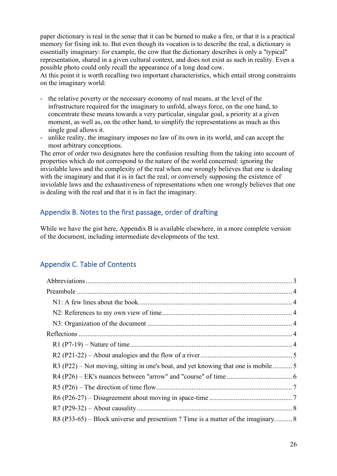paper dictionary is real in the sense that it can be burned to make a fire, or that it is a practical memory for fixing ink to. But even though its vocation is to describe the real, a dictionary is essentially imaginary: for example, the cow that the dictionary describes is only a "typical" representation, shared in a given cultural context, and does not exist as such in reality. Even a possible photo could only recall the appearance of a long dead cow.

At this point it is worth recalling two important characteristics, which entail strong constraints on the imaginary world:

- the relative poverty or the necessary economy of real means, at the level of the infrastructure required for the imaginary to unfold, always force, on the one hand, to concentrate these means towards a very particular, singular goal, a priority at a given moment, as well as, on the other hand, to simplify the representations as much as this single goal allows it.
- unlike reality, the imaginary imposes no law of its own in its world, and can accept the most arbitrary conceptions.

The error of order two designates here the confusion resulting from the taking into account of properties which do not correspond to the nature of the world concerned: ignoring the inviolable laws and the complexity of the real when one wrongly believes that one is dealing with the imaginary and that it is in fact the real; or conversely supposing the existence of inviolable laws and the exhaustiveness of representations when one wrongly believes that one is dealing with the real and that it is in fact the imaginary.

# Appendix B. Notes to the first passage, order of drafting

While we have the gist here, Appendix B is available elsewhere, in a more complete version of the document, including intermediate developments of the text.

# Appendix C. Table of Contents

| R3 (P22) – Not moving, sitting in one's boat, and yet knowing that one is mobile5 |  |
|-----------------------------------------------------------------------------------|--|
|                                                                                   |  |
|                                                                                   |  |
|                                                                                   |  |
|                                                                                   |  |
| R8 (P33-65) – Block universe and presentism? Time is a matter of the imaginary 8  |  |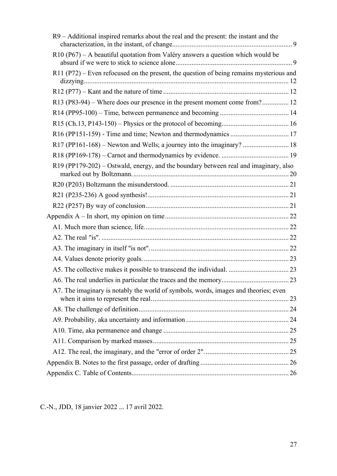| R9 – Additional inspired remarks about the real and the present: the instant and the    |  |
|-----------------------------------------------------------------------------------------|--|
| R10 (P67) - A beautiful quotation from Valéry answers a question which would be         |  |
| R11 (P72) – Even refocused on the present, the question of being remains mysterious and |  |
|                                                                                         |  |
| R13 (P83-94) – Where does our presence in the present moment come from? 12              |  |
|                                                                                         |  |
|                                                                                         |  |
|                                                                                         |  |
|                                                                                         |  |
|                                                                                         |  |
| R19 (PP179-202) – Ostwald, energy, and the boundary between real and imaginary, also    |  |
|                                                                                         |  |
|                                                                                         |  |
|                                                                                         |  |
|                                                                                         |  |
|                                                                                         |  |
|                                                                                         |  |
|                                                                                         |  |
|                                                                                         |  |
|                                                                                         |  |
|                                                                                         |  |
| A7. The imaginary is notably the world of symbols, words, images and theories; even     |  |
|                                                                                         |  |
|                                                                                         |  |
|                                                                                         |  |
|                                                                                         |  |
|                                                                                         |  |
|                                                                                         |  |
|                                                                                         |  |

C.-N., JDD, 18 janvier 2022 ... 17 avril 2022.